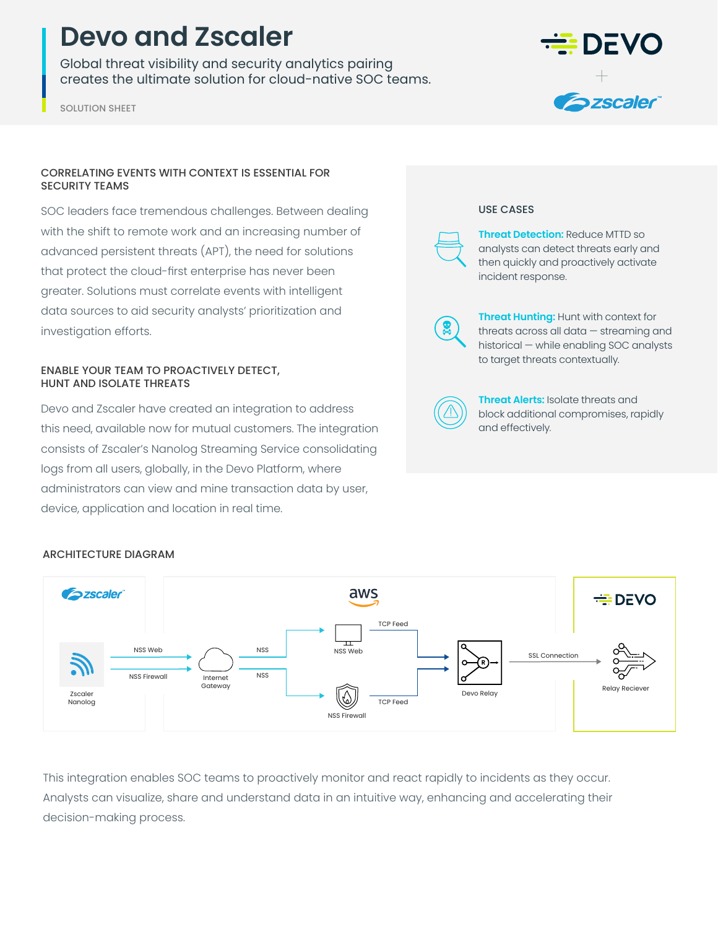# **Devo and Zscaler**

Global threat visibility and security analytics pairing creates the ultimate solution for cloud-native SOC teams.

SOLUTION SHEET

## CORRELATING EVENTS WITH CONTEXT IS ESSENTIAL FOR SECURITY TEAMS

SOC leaders face tremendous challenges. Between dealing with the shift to remote work and an increasing number of advanced persistent threats (APT), the need for solutions that protect the cloud-first enterprise has never been greater. Solutions must correlate events with intelligent data sources to aid security analysts' prioritization and investigation efforts.

### ENABLE YOUR TEAM TO PROACTIVELY DETECT, HUNT AND ISOLATE THREATS

Devo and Zscaler have created an integration to address this need, available now for mutual customers. The integration consists of Zscaler's Nanolog Streaming Service consolidating logs from all users, globally, in the Devo Platform, where administrators can view and mine transaction data by user, device, application and location in real time.



#### USE CASES

**Threat Detection:** Reduce MTTD so analysts can detect threats early and then quickly and proactively activate incident response.

**Threat Hunting:** Hunt with context for threats across all data — streaming and historical — while enabling SOC analysts to target threats contextually.



**Threat Alerts:** Isolate threats and block additional compromises, rapidly and effectively.



## ARCHITECTURE DIAGRAM

This integration enables SOC teams to proactively monitor and react rapidly to incidents as they occur. Analysts can visualize, share and understand data in an intuitive way, enhancing and accelerating their decision-making process.